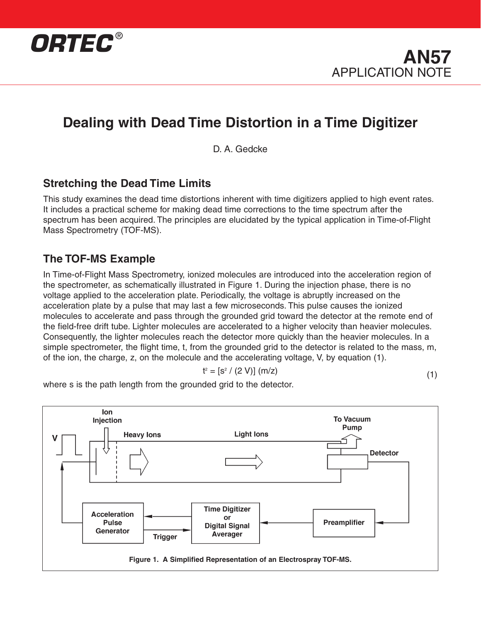



D. A. Gedcke

#### **Stretching the Dead Time Limits**

This study examines the dead time distortions inherent with time digitizers applied to high event rates. It includes a practical scheme for making dead time corrections to the time spectrum after the spectrum has been acquired. The principles are elucidated by the typical application in Time-of-Flight Mass Spectrometry (TOF-MS).

#### **The TOF-MS Example**

In Time-of-Flight Mass Spectrometry, ionized molecules are introduced into the acceleration region of the spectrometer, as schematically illustrated in Figure 1. During the injection phase, there is no voltage applied to the acceleration plate. Periodically, the voltage is abruptly increased on the acceleration plate by a pulse that may last a few microseconds. This pulse causes the ionized molecules to accelerate and pass through the grounded grid toward the detector at the remote end of the field-free drift tube. Lighter molecules are accelerated to a higher velocity than heavier molecules. Consequently, the lighter molecules reach the detector more quickly than the heavier molecules. In a simple spectrometer, the flight time, t, from the grounded grid to the detector is related to the mass, m, of the ion, the charge, z, on the molecule and the accelerating voltage, V, by equation (1).

$$
t^{2} = [s^{2} / (2 V)] (m/z)
$$
 (1)

where s is the path length from the grounded grid to the detector.

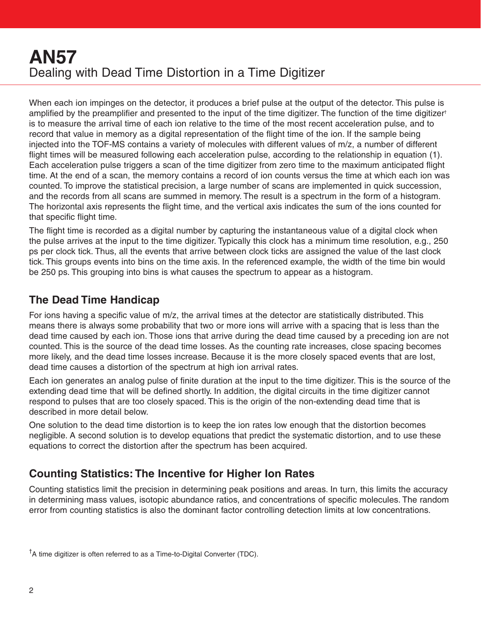When each ion impinges on the detector, it produces a brief pulse at the output of the detector. This pulse is amplified by the preamplifier and presented to the input of the time digitizer. The function of the time digitizer† is to measure the arrival time of each ion relative to the time of the most recent acceleration pulse, and to record that value in memory as a digital representation of the flight time of the ion. If the sample being injected into the TOF-MS contains a variety of molecules with different values of m/z, a number of different flight times will be measured following each acceleration pulse, according to the relationship in equation (1). Each acceleration pulse triggers a scan of the time digitizer from zero time to the maximum anticipated flight time. At the end of a scan, the memory contains a record of ion counts versus the time at which each ion was counted. To improve the statistical precision, a large number of scans are implemented in quick succession, and the records from all scans are summed in memory. The result is a spectrum in the form of a histogram. The horizontal axis represents the flight time, and the vertical axis indicates the sum of the ions counted for that specific flight time.

The flight time is recorded as a digital number by capturing the instantaneous value of a digital clock when the pulse arrives at the input to the time digitizer. Typically this clock has a minimum time resolution, e.g., 250 ps per clock tick. Thus, all the events that arrive between clock ticks are assigned the value of the last clock tick. This groups events into bins on the time axis. In the referenced example, the width of the time bin would be 250 ps. This grouping into bins is what causes the spectrum to appear as a histogram.

## **The Dead Time Handicap**

For ions having a specific value of m/z, the arrival times at the detector are statistically distributed. This means there is always some probability that two or more ions will arrive with a spacing that is less than the dead time caused by each ion. Those ions that arrive during the dead time caused by a preceding ion are not counted. This is the source of the dead time losses. As the counting rate increases, close spacing becomes more likely, and the dead time losses increase. Because it is the more closely spaced events that are lost, dead time causes a distortion of the spectrum at high ion arrival rates.

Each ion generates an analog pulse of finite duration at the input to the time digitizer. This is the source of the extending dead time that will be defined shortly. In addition, the digital circuits in the time digitizer cannot respond to pulses that are too closely spaced. This is the origin of the non-extending dead time that is described in more detail below.

One solution to the dead time distortion is to keep the ion rates low enough that the distortion becomes negligible. A second solution is to develop equations that predict the systematic distortion, and to use these equations to correct the distortion after the spectrum has been acquired.

## **Counting Statistics: The Incentive for Higher Ion Rates**

Counting statistics limit the precision in determining peak positions and areas. In turn, this limits the accuracy in determining mass values, isotopic abundance ratios, and concentrations of specific molecules. The random error from counting statistics is also the dominant factor controlling detection limits at low concentrations.

<sup>&</sup>lt;sup>†</sup>A time digitizer is often referred to as a Time-to-Digital Converter (TDC).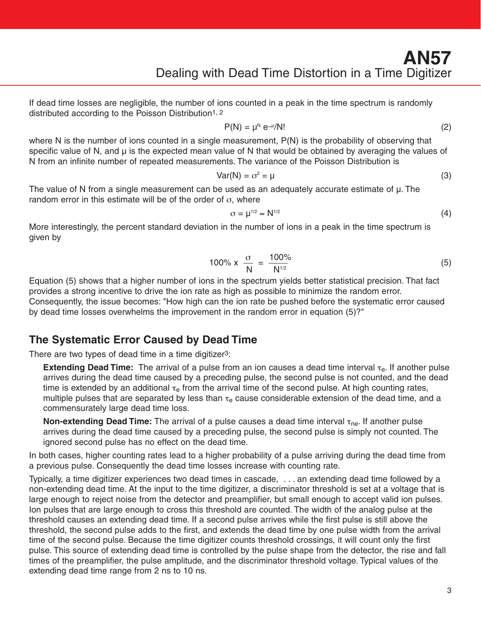If dead time losses are negligible, the number of ions counted in a peak in the time spectrum is randomly distributed according to the Poisson Distribution1, 2

$$
P(N) = \mu^N e^{-\mu} / N!
$$
 (2)

where N is the number of ions counted in a single measurement, P(N) is the probability of observing that specific value of N, and  $\mu$  is the expected mean value of N that would be obtained by averaging the values of N from an infinite number of repeated measurements. The variance of the Poisson Distribution is

$$
Var(N) = \sigma^2 = \mu \tag{3}
$$

The value of N from a single measurement can be used as an adequately accurate estimate of µ. The random error in this estimate will be of the order of  $\sigma$ , where

$$
\sigma = \mu^{1/2} \approx N^{1/2} \tag{4}
$$

More interestingly, the percent standard deviation in the number of ions in a peak in the time spectrum is given by

$$
100\% \times \frac{\sigma}{N} = \frac{100\%}{N^{1/2}}
$$
 (5)

Equation (5) shows that a higher number of ions in the spectrum yields better statistical precision. That fact provides a strong incentive to drive the ion rate as high as possible to minimize the random error. Consequently, the issue becomes: "How high can the ion rate be pushed before the systematic error caused by dead time losses overwhelms the improvement in the random error in equation (5)?"

#### **The Systematic Error Caused by Dead Time**

There are two types of dead time in a time digitizer3:

**Extending Dead Time:** The arrival of a pulse from an ion causes a dead time interval τ<sub>e</sub>. If another pulse arrives during the dead time caused by a preceding pulse, the second pulse is not counted, and the dead time is extended by an additional  $\tau_e$  from the arrival time of the second pulse. At high counting rates, multiple pulses that are separated by less than  $\tau_e$  cause considerable extension of the dead time, and a commensurately large dead time loss.

**Non-extending Dead Time:** The arrival of a pulse causes a dead time interval  $\tau_{\text{ne}}$ . If another pulse arrives during the dead time caused by a preceding pulse, the second pulse is simply not counted. The ignored second pulse has no effect on the dead time.

In both cases, higher counting rates lead to a higher probability of a pulse arriving during the dead time from a previous pulse. Consequently the dead time losses increase with counting rate.

Typically, a time digitizer experiences two dead times in cascade, . . . an extending dead time followed by a non-extending dead time. At the input to the time digitizer, a discriminator threshold is set at a voltage that is large enough to reject noise from the detector and preamplifier, but small enough to accept valid ion pulses. Ion pulses that are large enough to cross this threshold are counted. The width of the analog pulse at the threshold causes an extending dead time. If a second pulse arrives while the first pulse is still above the threshold, the second pulse adds to the first, and extends the dead time by one pulse width from the arrival time of the second pulse. Because the time digitizer counts threshold crossings, it will count only the first pulse. This source of extending dead time is controlled by the pulse shape from the detector, the rise and fall times of the preamplifier, the pulse amplitude, and the discriminator threshold voltage. Typical values of the extending dead time range from 2 ns to 10 ns.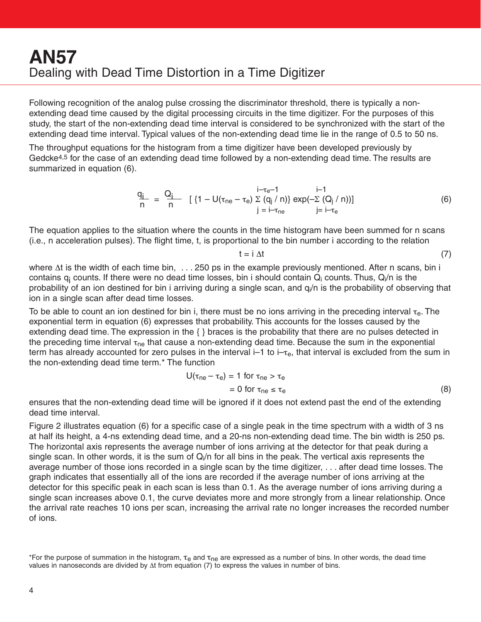Following recognition of the analog pulse crossing the discriminator threshold, there is typically a nonextending dead time caused by the digital processing circuits in the time digitizer. For the purposes of this study, the start of the non-extending dead time interval is considered to be synchronized with the start of the extending dead time interval. Typical values of the non-extending dead time lie in the range of 0.5 to 50 ns.

The throughput equations for the histogram from a time digitizer have been developed previously by Gedcke4,5 for the case of an extending dead time followed by a non-extending dead time. The results are summarized in equation (6).

$$
\frac{q_{j}}{n} = \frac{Q_{j}}{n} \quad [\{1 - U(\tau_{ne} - \tau_{e}) \sum_{j} \frac{i - \tau_{e} - 1}{(q_{j}/n)} \exp(-\sum_{j} \frac{(Q_{j}/n))}{(q_{j}-\tau_{e})}]
$$
(6)

The equation applies to the situation where the counts in the time histogram have been summed for n scans (i.e., n acceleration pulses). The flight time, t, is proportional to the bin number i according to the relation

$$
t = i \Delta t \tag{7}
$$

where Δt is the width of each time bin, . . . 250 ps in the example previously mentioned. After n scans, bin i contains  $q_i$  counts. If there were no dead time losses, bin i should contain  $Q_i$  counts. Thus,  $Q_i/n$  is the probability of an ion destined for bin i arriving during a single scan, and  $q_i/n$  is the probability of observing that ion in a single scan after dead time losses.

To be able to count an ion destined for bin i, there must be no ions arriving in the preceding interval  $\tau_{e}$ . The exponential term in equation (6) expresses that probability. This accounts for the losses caused by the extending dead time. The expression in the { } braces is the probability that there are no pulses detected in the preceding time interval  $\tau_{\text{ne}}$  that cause a non-extending dead time. Because the sum in the exponential term has already accounted for zero pulses in the interval  $-1$  to  $-\tau_e$ , that interval is excluded from the sum in the non-extending dead time term.\* The function

$$
U(\tau_{ne} - \tau_e) = 1 \text{ for } \tau_{ne} > \tau_e
$$
  
= 0 for  $\tau_{ne} \leq \tau_e$  (8)

ensures that the non-extending dead time will be ignored if it does not extend past the end of the extending dead time interval.

Figure 2 illustrates equation (6) for a specific case of a single peak in the time spectrum with a width of 3 ns at half its height, a 4-ns extending dead time, and a 20-ns non-extending dead time. The bin width is 250 ps. The horizontal axis represents the average number of ions arriving at the detector for that peak during a single scan. In other words, it is the sum of  $Q_i/n$  for all bins in the peak. The vertical axis represents the average number of those ions recorded in a single scan by the time digitizer, . . . after dead time losses. The graph indicates that essentially all of the ions are recorded if the average number of ions arriving at the detector for this specific peak in each scan is less than 0.1. As the average number of ions arriving during a single scan increases above 0.1, the curve deviates more and more strongly from a linear relationship. Once the arrival rate reaches 10 ions per scan, increasing the arrival rate no longer increases the recorded number of ions.

<sup>\*</sup>For the purpose of summation in the histogram,  $\tau_e$  and  $\tau_{ne}$  are expressed as a number of bins. In other words, the dead time values in nanoseconds are divided by Δt from equation (7) to express the values in number of bins.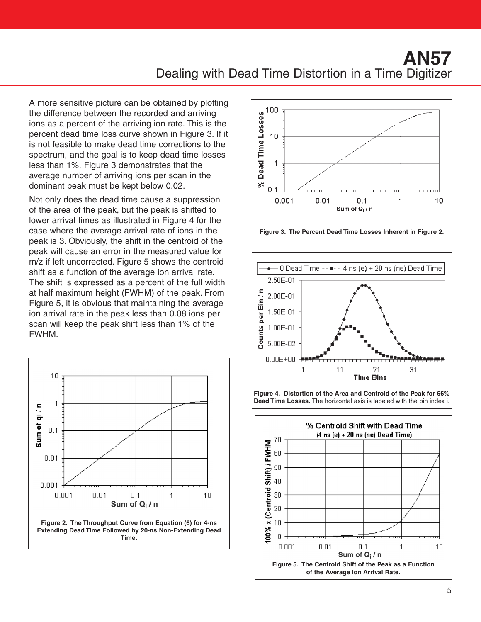A more sensitive picture can be obtained by plotting the difference between the recorded and arriving ions as a percent of the arriving ion rate. This is the percent dead time loss curve shown in Figure 3. If it is not feasible to make dead time corrections to the spectrum, and the goal is to keep dead time losses less than 1%, Figure 3 demonstrates that the average number of arriving ions per scan in the dominant peak must be kept below 0.02.

Not only does the dead time cause a suppression of the area of the peak, but the peak is shifted to lower arrival times as illustrated in Figure 4 for the case where the average arrival rate of ions in the peak is 3. Obviously, the shift in the centroid of the peak will cause an error in the measured value for m/z if left uncorrected. Figure 5 shows the centroid shift as a function of the average ion arrival rate. The shift is expressed as a percent of the full width at half maximum height (FWHM) of the peak. From Figure 5, it is obvious that maintaining the average ion arrival rate in the peak less than 0.08 ions per scan will keep the peak shift less than 1% of the FWHM.









**Figure 4. Distortion of the Area and Centroid of the Peak for 66% Dead Time Losses.** The horizontal axis is labeled with the bin index i.

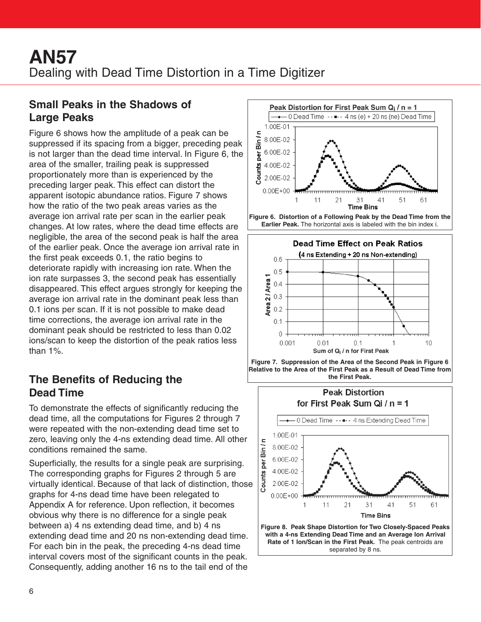## **Small Peaks in the Shadows of Large Peaks**

Figure 6 shows how the amplitude of a peak can be suppressed if its spacing from a bigger, preceding peak is not larger than the dead time interval. In Figure 6, the area of the smaller, trailing peak is suppressed proportionately more than is experienced by the preceding larger peak. This effect can distort the apparent isotopic abundance ratios. Figure 7 shows how the ratio of the two peak areas varies as the average ion arrival rate per scan in the earlier peak changes. At low rates, where the dead time effects are negligible, the area of the second peak is half the area of the earlier peak. Once the average ion arrival rate in the first peak exceeds 0.1, the ratio begins to deteriorate rapidly with increasing ion rate. When the ion rate surpasses 3, the second peak has essentially disappeared. This effect argues strongly for keeping the average ion arrival rate in the dominant peak less than 0.1 ions per scan. If it is not possible to make dead time corrections, the average ion arrival rate in the dominant peak should be restricted to less than 0.02 ions/scan to keep the distortion of the peak ratios less than 1%.

## **The Benefits of Reducing the Dead Time**

To demonstrate the effects of significantly reducing the dead time, all the computations for Figures 2 through 7 were repeated with the non-extending dead time set to zero, leaving only the 4-ns extending dead time. All other conditions remained the same.

Superficially, the results for a single peak are surprising. The corresponding graphs for Figures 2 through 5 are virtually identical. Because of that lack of distinction, those graphs for 4-ns dead time have been relegated to Appendix A for reference. Upon reflection, it becomes obvious why there is no difference for a single peak between a) 4 ns extending dead time, and b) 4 ns extending dead time and 20 ns non-extending dead time. For each bin in the peak, the preceding 4-ns dead time interval covers most of the significant counts in the peak. Consequently, adding another 16 ns to the tail end of the





 $0.1$  $\Omega$ 

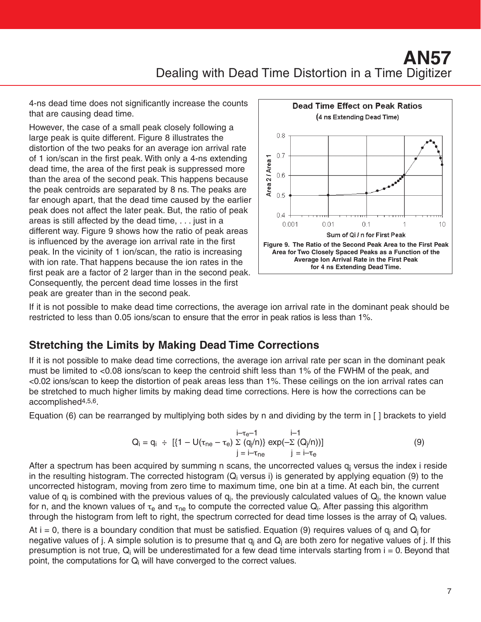4-ns dead time does not significantly increase the counts that are causing dead time.

However, the case of a small peak closely following a large peak is quite different. Figure 8 illustrates the distortion of the two peaks for an average ion arrival rate of 1 ion/scan in the first peak. With only a 4-ns extending dead time, the area of the first peak is suppressed more than the area of the second peak. This happens because the peak centroids are separated by 8 ns. The peaks are far enough apart, that the dead time caused by the earlier peak does not affect the later peak. But, the ratio of peak areas is still affected by the dead time, . . . just in a different way. Figure 9 shows how the ratio of peak areas is influenced by the average ion arrival rate in the first peak. In the vicinity of 1 ion/scan, the ratio is increasing with ion rate. That happens because the ion rates in the first peak are a factor of 2 larger than in the second peak. Consequently, the percent dead time losses in the first peak are greater than in the second peak.



If it is not possible to make dead time corrections, the average ion arrival rate in the dominant peak should be restricted to less than 0.05 ions/scan to ensure that the error in peak ratios is less than 1%.

## **Stretching the Limits by Making Dead Time Corrections**

If it is not possible to make dead time corrections, the average ion arrival rate per scan in the dominant peak must be limited to <0.08 ions/scan to keep the centroid shift less than 1% of the FWHM of the peak, and <0.02 ions/scan to keep the distortion of peak areas less than 1%. These ceilings on the ion arrival rates can be stretched to much higher limits by making dead time corrections. Here is how the corrections can be accomplished4,5,6.

Equation (6) can be rearranged by multiplying both sides by n and dividing by the term in [ ] brackets to yield

$$
Q_{i} = q_{i} \div [ {1 - U(\tau_{ne} - \tau_{e}) \sum (q_{i}/n)} \exp(-\sum (Q_{i}/n))] \nj = i - \tau_{ne} \qquad j = i - \tau_{e}
$$
\n(9)

After a spectrum has been acquired by summing n scans, the uncorrected values  $q_i$  versus the index i reside in the resulting histogram. The corrected histogram  $(Q_i$  versus i) is generated by applying equation (9) to the uncorrected histogram, moving from zero time to maximum time, one bin at a time. At each bin, the current value of  $q_i$  is combined with the previous values of  $q_i$ , the previously calculated values of  $Q_i$ , the known value for n, and the known values of  $\tau_e$  and  $\tau_{ne}$  to compute the corrected value  $Q_i$ . After passing this algorithm through the histogram from left to right, the spectrum corrected for dead time losses is the array of  $Q_i$  values.

At i = 0, there is a boundary condition that must be satisfied. Equation (9) requires values of  $q_i$  and  $Q_i$  for negative values of j. A simple solution is to presume that  $q_i$  and  $Q_i$  are both zero for negative values of j. If this presumption is not true,  $Q_i$  will be underestimated for a few dead time intervals starting from  $i = 0$ . Beyond that point, the computations for  $Q_i$  will have converged to the correct values.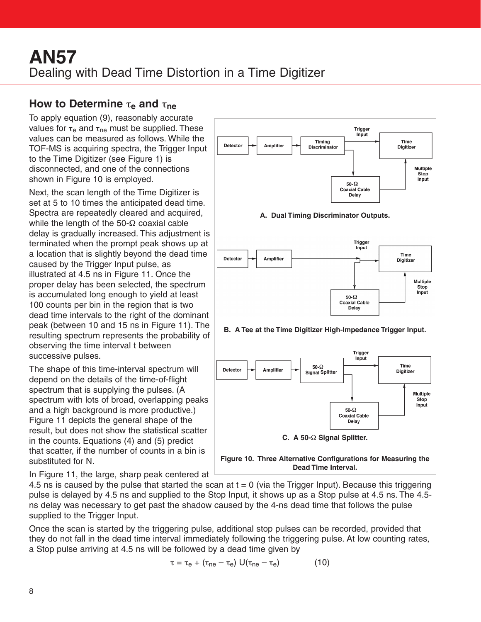#### **How to Determine** τ**<sup>e</sup> and** τ**ne**

To apply equation (9), reasonably accurate values for  $\tau_e$  and  $\tau_{ne}$  must be supplied. These values can be measured as follows. While the TOF-MS is acquiring spectra, the Trigger Input to the Time Digitizer (see Figure 1) is disconnected, and one of the connections shown in Figure 10 is employed.

Next, the scan length of the Time Digitizer is set at 5 to 10 times the anticipated dead time. Spectra are repeatedly cleared and acquired, while the length of the  $50-\Omega$  coaxial cable delay is gradually increased. This adjustment is terminated when the prompt peak shows up at a location that is slightly beyond the dead time caused by the Trigger Input pulse, as illustrated at 4.5 ns in Figure 11. Once the proper delay has been selected, the spectrum is accumulated long enough to yield at least 100 counts per bin in the region that is two dead time intervals to the right of the dominant peak (between 10 and 15 ns in Figure 11). The resulting spectrum represents the probability of observing the time interval t between successive pulses.

The shape of this time-interval spectrum will depend on the details of the time-of-flight spectrum that is supplying the pulses. (A spectrum with lots of broad, overlapping peaks and a high background is more productive.) Figure 11 depicts the general shape of the result, but does not show the statistical scatter in the counts. Equations (4) and (5) predict that scatter, if the number of counts in a bin is substituted for N.

In Figure 11, the large, sharp peak centered at



4.5 ns is caused by the pulse that started the scan at  $t = 0$  (via the Trigger Input). Because this triggering pulse is delayed by 4.5 ns and supplied to the Stop Input, it shows up as a Stop pulse at 4.5 ns. The 4.5 ns delay was necessary to get past the shadow caused by the 4-ns dead time that follows the pulse supplied to the Trigger Input.

Once the scan is started by the triggering pulse, additional stop pulses can be recorded, provided that they do not fall in the dead time interval immediately following the triggering pulse. At low counting rates, a Stop pulse arriving at 4.5 ns will be followed by a dead time given by

$$
\tau = \tau_{\rm e} + (\tau_{\rm ne} - \tau_{\rm e}) \mathsf{U}(\tau_{\rm ne} - \tau_{\rm e}) \tag{10}
$$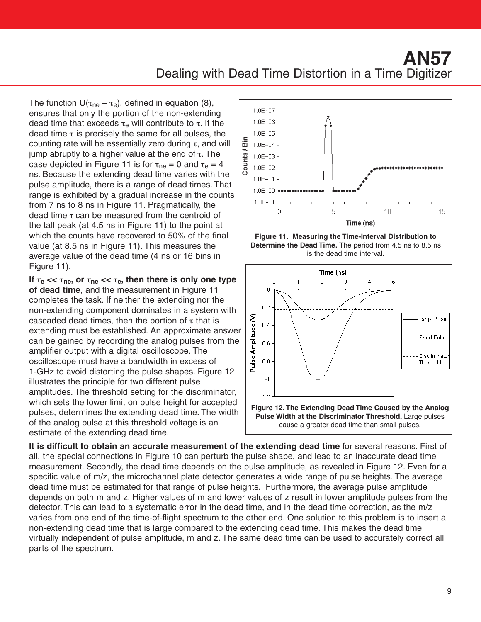The function  $U(\tau_{ne} - \tau_e)$ , defined in equation (8), ensures that only the portion of the non-extending dead time that exceeds  $\tau_e$  will contribute to  $\tau$ . If the dead time  $\tau$  is precisely the same for all pulses, the counting rate will be essentially zero during  $τ$ , and will jump abruptly to a higher value at the end of τ. The case depicted in Figure 11 is for  $\tau_{\text{ne}} = 0$  and  $\tau_{\text{e}} = 4$ ns. Because the extending dead time varies with the pulse amplitude, there is a range of dead times. That range is exhibited by a gradual increase in the counts from 7 ns to 8 ns in Figure 11. Pragmatically, the dead time  $τ$  can be measured from the centroid of the tall peak (at 4.5 ns in Figure 11) to the point at which the counts have recovered to 50% of the final value (at 8.5 ns in Figure 11). This measures the average value of the dead time (4 ns or 16 bins in Figure 11).

If  $\tau_e \ll \tau_{ne}$ , or  $\tau_{ne} \ll \tau_e$ , then there is only one type **of dead time**, and the measurement in Figure 11 completes the task. If neither the extending nor the non-extending component dominates in a system with cascaded dead times, then the portion of  $\tau$  that is extending must be established. An approximate answer can be gained by recording the analog pulses from the amplifier output with a digital oscilloscope. The oscilloscope must have a bandwidth in excess of 1-GHz to avoid distorting the pulse shapes. Figure 12 illustrates the principle for two different pulse amplitudes. The threshold setting for the discriminator, which sets the lower limit on pulse height for accepted pulses, determines the extending dead time. The width of the analog pulse at this threshold voltage is an estimate of the extending dead time.







**It is difficult to obtain an accurate measurement of the extending dead time** for several reasons. First of all, the special connections in Figure 10 can perturb the pulse shape, and lead to an inaccurate dead time measurement. Secondly, the dead time depends on the pulse amplitude, as revealed in Figure 12. Even for a specific value of m/z, the microchannel plate detector generates a wide range of pulse heights. The average dead time must be estimated for that range of pulse heights. Furthermore, the average pulse amplitude depends on both m and z. Higher values of m and lower values of z result in lower amplitude pulses from the detector. This can lead to a systematic error in the dead time, and in the dead time correction, as the m/z varies from one end of the time-of-flight spectrum to the other end. One solution to this problem is to insert a non-extending dead time that is large compared to the extending dead time. This makes the dead time virtually independent of pulse amplitude, m and z. The same dead time can be used to accurately correct all parts of the spectrum.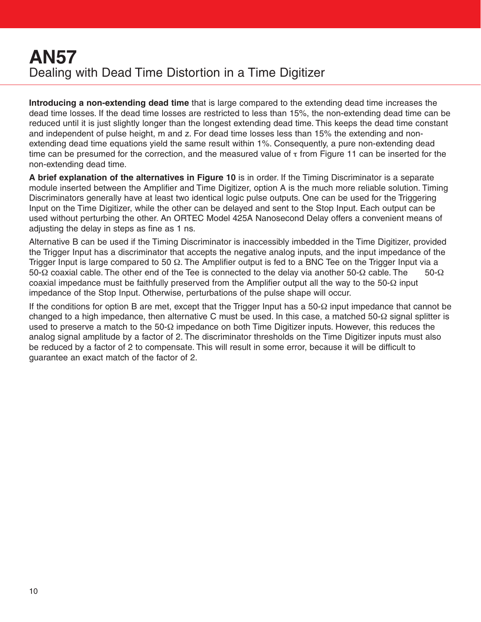**Introducing a non-extending dead time** that is large compared to the extending dead time increases the dead time losses. If the dead time losses are restricted to less than 15%, the non-extending dead time can be reduced until it is just slightly longer than the longest extending dead time. This keeps the dead time constant and independent of pulse height, m and z. For dead time losses less than 15% the extending and nonextending dead time equations yield the same result within 1%. Consequently, a pure non-extending dead time can be presumed for the correction, and the measured value of  $\tau$  from Figure 11 can be inserted for the non-extending dead time.

**A brief explanation of the alternatives in Figure 10** is in order. If the Timing Discriminator is a separate module inserted between the Amplifier and Time Digitizer, option A is the much more reliable solution. Timing Discriminators generally have at least two identical logic pulse outputs. One can be used for the Triggering Input on the Time Digitizer, while the other can be delayed and sent to the Stop Input. Each output can be used without perturbing the other. An ORTEC Model 425A Nanosecond Delay offers a convenient means of adjusting the delay in steps as fine as 1 ns.

Alternative B can be used if the Timing Discriminator is inaccessibly imbedded in the Time Digitizer, provided the Trigger Input has a discriminator that accepts the negative analog inputs, and the input impedance of the Trigger Input is large compared to 50 Ω. The Amplifier output is fed to a BNC Tee on the Trigger Input via a 50-Ω coaxial cable. The other end of the Tee is connected to the delay via another 50-Ω cable. The 50-Ω coaxial impedance must be faithfully preserved from the Amplifier output all the way to the 50-Ω input impedance of the Stop Input. Otherwise, perturbations of the pulse shape will occur.

If the conditions for option B are met, except that the Trigger Input has a 50-Ω input impedance that cannot be changed to a high impedance, then alternative C must be used. In this case, a matched 50-Ω signal splitter is used to preserve a match to the 50- $\Omega$  impedance on both Time Digitizer inputs. However, this reduces the analog signal amplitude by a factor of 2. The discriminator thresholds on the Time Digitizer inputs must also be reduced by a factor of 2 to compensate. This will result in some error, because it will be difficult to guarantee an exact match of the factor of 2.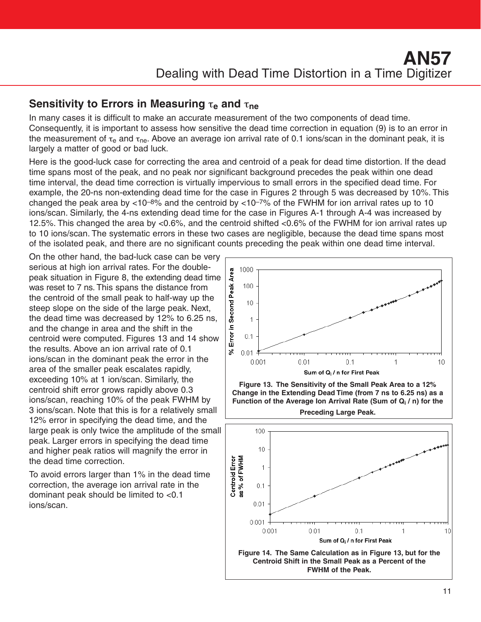#### **Sensitivity to Errors in Measuring** τ**<sup>e</sup> and** τ**ne**

In many cases it is difficult to make an accurate measurement of the two components of dead time. Consequently, it is important to assess how sensitive the dead time correction in equation (9) is to an error in the measurement of  $\tau_e$  and  $\tau_{ne}$ . Above an average ion arrival rate of 0.1 ions/scan in the dominant peak, it is largely a matter of good or bad luck.

Here is the good-luck case for correcting the area and centroid of a peak for dead time distortion. If the dead time spans most of the peak, and no peak nor significant background precedes the peak within one dead time interval, the dead time correction is virtually impervious to small errors in the specified dead time. For example, the 20-ns non-extending dead time for the case in Figures 2 through 5 was decreased by 10%. This changed the peak area by  $<$ 10<sup>-8%</sup> and the centroid by  $<$ 10<sup>-7%</sup> of the FWHM for ion arrival rates up to 10 ions/scan. Similarly, the 4-ns extending dead time for the case in Figures A-1 through A-4 was increased by 12.5%. This changed the area by <0.6%, and the centroid shifted <0.6% of the FWHM for ion arrival rates up to 10 ions/scan. The systematic errors in these two cases are negligible, because the dead time spans most of the isolated peak, and there are no significant counts preceding the peak within one dead time interval.

On the other hand, the bad-luck case can be very serious at high ion arrival rates. For the doublepeak situation in Figure 8, the extending dead time was reset to 7 ns. This spans the distance from the centroid of the small peak to half-way up the steep slope on the side of the large peak. Next, the dead time was decreased by 12% to 6.25 ns, and the change in area and the shift in the centroid were computed. Figures 13 and 14 show the results. Above an ion arrival rate of 0.1 ions/scan in the dominant peak the error in the area of the smaller peak escalates rapidly, exceeding 10% at 1 ion/scan. Similarly, the centroid shift error grows rapidly above 0.3 ions/scan, reaching 10% of the peak FWHM by 3 ions/scan. Note that this is for a relatively small 12% error in specifying the dead time, and the large peak is only twice the amplitude of the small peak. Larger errors in specifying the dead time and higher peak ratios will magnify the error in the dead time correction.

To avoid errors larger than 1% in the dead time correction, the average ion arrival rate in the dominant peak should be limited to <0.1 ions/scan.



**Figure 13. The Sensitivity of the Small Peak Area to a 12% Change in the Extending Dead Time (from 7 ns to 6.25 ns) as a Function of the Average Ion Arrival Rate (Sum of Qi / n) for the Preceding Large Peak.**

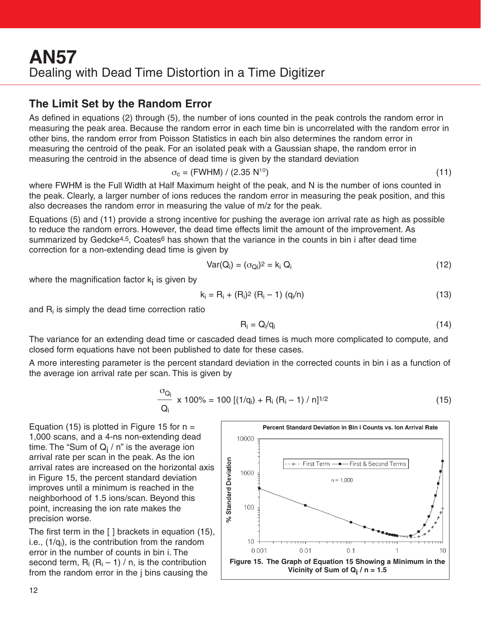#### **The Limit Set by the Random Error**

As defined in equations (2) through (5), the number of ions counted in the peak controls the random error in measuring the peak area. Because the random error in each time bin is uncorrelated with the random error in other bins, the random error from Poisson Statistics in each bin also determines the random error in measuring the centroid of the peak. For an isolated peak with a Gaussian shape, the random error in measuring the centroid in the absence of dead time is given by the standard deviation

$$
\sigma_{\rm c} = (\text{FWHM}) / (2.35 \text{ N}^{1/2}) \tag{11}
$$

where FWHM is the Full Width at Half Maximum height of the peak, and N is the number of ions counted in the peak. Clearly, a larger number of ions reduces the random error in measuring the peak position, and this also decreases the random error in measuring the value of m/z for the peak.

Equations (5) and (11) provide a strong incentive for pushing the average ion arrival rate as high as possible to reduce the random errors. However, the dead time effects limit the amount of the improvement. As summarized by Gedcke<sup>4,5</sup>, Coates<sup>6</sup> has shown that the variance in the counts in bin i after dead time correction for a non-extending dead time is given by

$$
Var(Q_i) = (\sigma_{Qi})^2 = k_i Q_i \tag{12}
$$

where the magnification factor  $k_i$  is given by

$$
k_i = R_i + (R_i)^2 (R_i - 1) (q_i/n)
$$
 (13)

and  $R_i$  is simply the dead time correction ratio

$$
R_i = Q_i/q_i \tag{14}
$$

The variance for an extending dead time or cascaded dead times is much more complicated to compute, and closed form equations have not been published to date for these cases.

A more interesting parameter is the percent standard deviation in the corrected counts in bin i as a function of the average ion arrival rate per scan. This is given by

$$
\frac{\sigma_{Q_i}}{Q_i} \times 100\% = 100 \left[ (1/q_i) + R_i \left( R_i - 1 \right) / n \right]^{1/2}
$$
 (15)

Equation (15) is plotted in Figure 15 for  $n =$ 1,000 scans, and a 4-ns non-extending dead time. The "Sum of  $Q_i / n$ " is the average ion arrival rate per scan in the peak. As the ion arrival rates are increased on the horizontal axis in Figure 15, the percent standard deviation improves until a minimum is reached in the neighborhood of 1.5 ions/scan. Beyond this point, increasing the ion rate makes the precision worse.

The first term in the [ ] brackets in equation (15), i.e.,  $(1/q<sub>i</sub>)$ , is the contribution from the random error in the number of counts in bin i. The second term,  $R_i (R_i - 1) / n$ , is the contribution from the random error in the j bins causing the

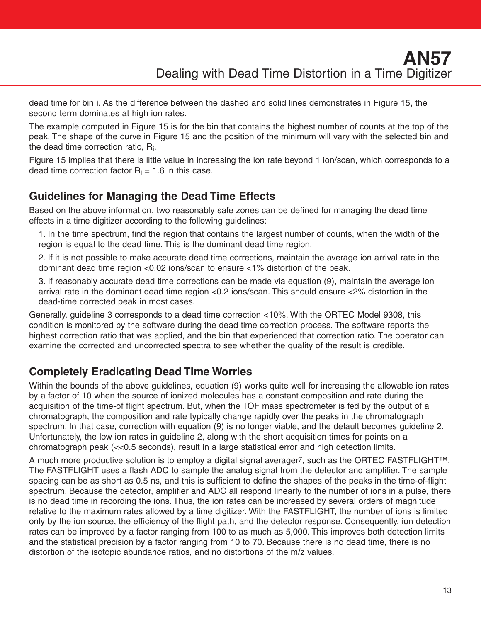dead time for bin i. As the difference between the dashed and solid lines demonstrates in Figure 15, the second term dominates at high ion rates.

The example computed in Figure 15 is for the bin that contains the highest number of counts at the top of the peak. The shape of the curve in Figure 15 and the position of the minimum will vary with the selected bin and the dead time correction ratio, Ri.

Figure 15 implies that there is little value in increasing the ion rate beyond 1 ion/scan, which corresponds to a dead time correction factor  $R_i = 1.6$  in this case.

#### **Guidelines for Managing the Dead Time Effects**

Based on the above information, two reasonably safe zones can be defined for managing the dead time effects in a time digitizer according to the following guidelines:

1. In the time spectrum, find the region that contains the largest number of counts, when the width of the region is equal to the dead time. This is the dominant dead time region.

2. If it is not possible to make accurate dead time corrections, maintain the average ion arrival rate in the dominant dead time region <0.02 ions/scan to ensure <1% distortion of the peak.

3. If reasonably accurate dead time corrections can be made via equation (9), maintain the average ion arrival rate in the dominant dead time region <0.2 ions/scan. This should ensure <2% distortion in the dead-time corrected peak in most cases.

Generally, guideline 3 corresponds to a dead time correction <10%. With the ORTEC Model 9308, this condition is monitored by the software during the dead time correction process. The software reports the highest correction ratio that was applied, and the bin that experienced that correction ratio. The operator can examine the corrected and uncorrected spectra to see whether the quality of the result is credible.

## **Completely Eradicating Dead Time Worries**

Within the bounds of the above guidelines, equation (9) works quite well for increasing the allowable ion rates by a factor of 10 when the source of ionized molecules has a constant composition and rate during the acquisition of the time-of flight spectrum. But, when the TOF mass spectrometer is fed by the output of a chromatograph, the composition and rate typically change rapidly over the peaks in the chromatograph spectrum. In that case, correction with equation (9) is no longer viable, and the default becomes guideline 2. Unfortunately, the low ion rates in guideline 2, along with the short acquisition times for points on a chromatograph peak (<<0.5 seconds), result in a large statistical error and high detection limits.

A much more productive solution is to employ a digital signal averager7, such as the ORTEC FASTFLIGHT™. The FASTFLIGHT uses a flash ADC to sample the analog signal from the detector and amplifier. The sample spacing can be as short as 0.5 ns, and this is sufficient to define the shapes of the peaks in the time-of-flight spectrum. Because the detector, amplifier and ADC all respond linearly to the number of ions in a pulse, there is no dead time in recording the ions. Thus, the ion rates can be increased by several orders of magnitude relative to the maximum rates allowed by a time digitizer. With the FASTFLIGHT, the number of ions is limited only by the ion source, the efficiency of the flight path, and the detector response. Consequently, ion detection rates can be improved by a factor ranging from 100 to as much as 5,000. This improves both detection limits and the statistical precision by a factor ranging from 10 to 70. Because there is no dead time, there is no distortion of the isotopic abundance ratios, and no distortions of the m/z values.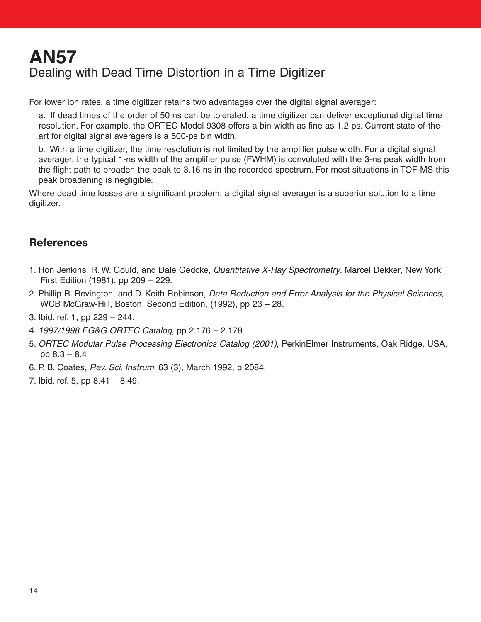For lower ion rates, a time digitizer retains two advantages over the digital signal averager:

a. If dead times of the order of 50 ns can be tolerated, a time digitizer can deliver exceptional digital time resolution. For example, the ORTEC Model 9308 offers a bin width as fine as 1.2 ps. Current state-of-theart for digital signal averagers is a 500-ps bin width.

b. With a time digitizer, the time resolution is not limited by the amplifier pulse width. For a digital signal averager, the typical 1-ns width of the amplifier pulse (FWHM) is convoluted with the 3-ns peak width from the flight path to broaden the peak to 3.16 ns in the recorded spectrum. For most situations in TOF-MS this peak broadening is negligible.

Where dead time losses are a significant problem, a digital signal averager is a superior solution to a time digitizer.

#### **References**

- 1. Ron Jenkins, R. W. Gould, and Dale Gedcke, *Quantitative X-Ray Spectrometry*, Marcel Dekker, New York, First Edition (1981), pp 209 – 229.
- 2. Phillip R. Bevington, and D. Keith Robinson, Data Reduction and Error Analysis for the Physical Sciences, WCB McGraw-Hill, Boston, Second Edition, (1992), pp 23 – 28.
- 3. Ibid. ref. 1, pp 229 244.
- 4. 1997/1998 EG&G ORTEC Catalog, pp 2.176 2.178
- 5. ORTEC Modular Pulse Processing Electronics Catalog (2001), PerkinElmer Instruments, Oak Ridge, USA, pp 8.3 – 8.4
- 6. P. B. Coates, Rev. Sci. Instrum. 63 (3), March 1992, p 2084.
- 7. Ibid. ref. 5, pp 8.41 8.49.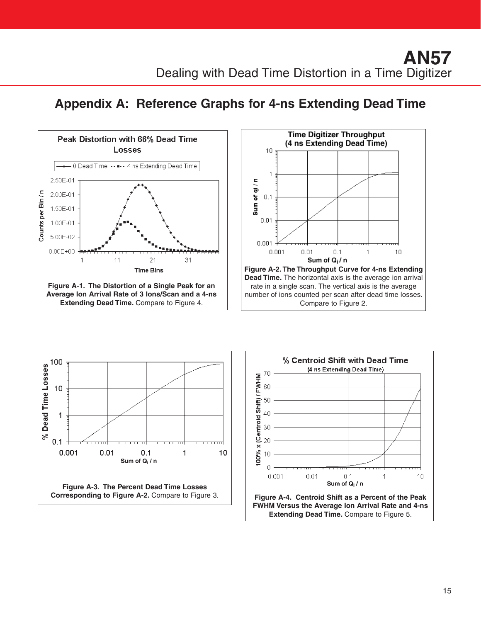# **Appendix A: Reference Graphs for 4-ns Extending Dead Time**